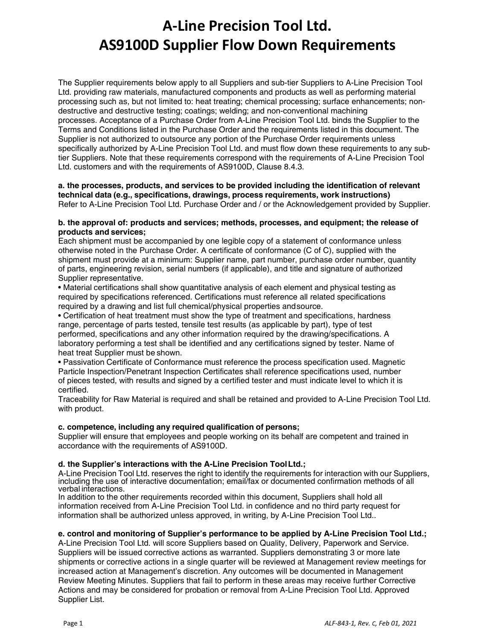The Supplier requirements below apply to all Suppliers and sub-tier Suppliers to A-Line Precision Tool Ltd. providing raw materials, manufactured components and products as well as performing material processing such as, but not limited to: heat treating; chemical processing; surface enhancements; nondestructive and destructive testing; coatings; welding; and non-conventional machining processes. Acceptance of a Purchase Order from A-Line Precision Tool Ltd. binds the Supplier to the Terms and Conditions listed in the Purchase Order and the requirements listed in this document. The Supplier is not authorized to outsource any portion of the Purchase Order requirements unless specifically authorized by A-Line Precision Tool Ltd. and must flow down these requirements to any subtier Suppliers. Note that these requirements correspond with the requirements of A-Line Precision Tool Ltd. customers and with the requirements of AS9100D, Clause 8.4.3.

#### **a. the processes, products, and services to be provided including the identification of relevant technical data (e.g., specifications, drawings, process requirements, work instructions)** Refer to A-Line Precision Tool Ltd. Purchase Order and / or the Acknowledgement provided by Supplier.

#### **b. the approval of: products and services; methods, processes, and equipment; the release of products and services;**

Each shipment must be accompanied by one legible copy of a statement of conformance unless otherwise noted in the Purchase Order. A certificate of conformance (C of C), supplied with the shipment must provide at a minimum: Supplier name, part number, purchase order number, quantity of parts, engineering revision, serial numbers (if applicable), and title and signature of authorized Supplier representative.

• Material certifications shall show quantitative analysis of each element and physical testing as required by specifications referenced. Certifications must reference all related specifications required by a drawing and list full chemical/physical properties andsource.

• Certification of heat treatment must show the type of treatment and specifications, hardness range, percentage of parts tested, tensile test results (as applicable by part), type of test performed, specifications and any other information required by the drawing/specifications. A laboratory performing a test shall be identified and any certifications signed by tester. Name of heat treat Supplier must be shown.

• Passivation Certificate of Conformance must reference the process specification used. Magnetic Particle Inspection/Penetrant Inspection Certificates shall reference specifications used, number of pieces tested, with results and signed by a certified tester and must indicate level to which it is certified.

Traceability for Raw Material is required and shall be retained and provided to A-Line Precision Tool Ltd. with product.

# **c. competence, including any required qualification of persons;**

Supplier will ensure that employees and people working on its behalf are competent and trained in accordance with the requirements of AS9100D.

# **d. the Supplier's interactions with the A-Line Precision ToolLtd.;**

A-Line Precision Tool Ltd. reserves the right to identify the requirements for interaction with our Suppliers, including the use of interactive documentation; email/fax or documented confirmation methods of all verbal interactions.

In addition to the other requirements recorded within this document, Suppliers shall hold all information received from A-Line Precision Tool Ltd. in confidence and no third party request for information shall be authorized unless approved, in writing, by A-Line Precision Tool Ltd..

# **e. control and monitoring of Supplier's performance to be applied by A-Line Precision Tool Ltd.;**

A-Line Precision Tool Ltd. will score Suppliers based on Quality, Delivery, Paperwork and Service. Suppliers will be issued corrective actions as warranted. Suppliers demonstrating 3 or more late shipments or corrective actions in a single quarter will be reviewed at Management review meetings for increased action at Management's discretion. Any outcomes will be documented in Management Review Meeting Minutes. Suppliers that fail to perform in these areas may receive further Corrective Actions and may be considered for probation or removal from A-Line Precision Tool Ltd. Approved Supplier List.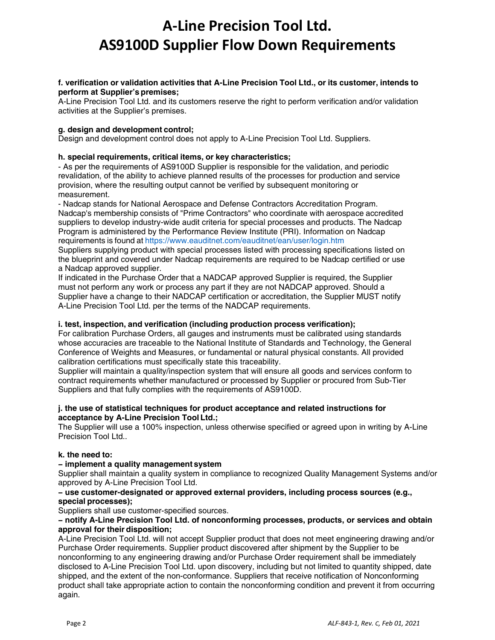#### **f. verification or validation activities that A-Line Precision Tool Ltd., or its customer, intends to perform at Supplier's premises;**

A-Line Precision Tool Ltd. and its customers reserve the right to perform verification and/or validation activities at the Supplier's premises.

### **g. design and development control;**

Design and development control does not apply to A-Line Precision Tool Ltd. Suppliers.

#### **h. special requirements, critical items, or key characteristics;**

- As per the requirements of AS9100D Supplier is responsible for the validation, and periodic revalidation, of the ability to achieve planned results of the processes for production and service provision, where the resulting output cannot be verified by subsequent monitoring or measurement.

- Nadcap stands for National Aerospace and Defense Contractors Accreditation Program. Nadcap's membership consists of "Prime Contractors" who coordinate with aerospace accredited suppliers to develop industry-wide audit criteria for special processes and products. The Nadcap Program is administered by the Performance Review Institute (PRI). Information on Nadcap requirements is found at https://[www.eauditnet.com/eauditnet/ean/user/login.htm](http://www.eauditnet.com/eauditnet/ean/user/login.htm)

Suppliers supplying product with special processes listed with processing specifications listed on the blueprint and covered under Nadcap requirements are required to be Nadcap certified or use a Nadcap approved supplier.

If indicated in the Purchase Order that a NADCAP approved Supplier is required, the Supplier must not perform any work or process any part if they are not NADCAP approved. Should a Supplier have a change to their NADCAP certification or accreditation, the Supplier MUST notify A-Line Precision Tool Ltd. per the terms of the NADCAP requirements.

#### **i. test, inspection, and verification (including production process verification);**

For calibration Purchase Orders, all gauges and instruments must be calibrated using standards whose accuracies are traceable to the National Institute of Standards and Technology, the General Conference of Weights and Measures, or fundamental or natural physical constants. All provided calibration certifications must specifically state this traceability.

Supplier will maintain a quality/inspection system that will ensure all goods and services conform to contract requirements whether manufactured or processed by Supplier or procured from Sub-Tier Suppliers and that fully complies with the requirements of AS9100D.

#### **j. the use of statistical techniques for product acceptance and related instructions for acceptance by A-Line Precision Tool Ltd.;**

The Supplier will use a 100% inspection, unless otherwise specified or agreed upon in writing by A-Line Precision Tool Ltd.

#### **k. the need to:**

#### **− implement a quality management system**

Supplier shall maintain a quality system in compliance to recognized Quality Management Systems and/or approved by A-Line Precision Tool Ltd.

#### **− use customer-designated or approved external providers, including process sources (e.g., special processes);**

Suppliers shall use customer-specified sources.

#### **− notify A-Line Precision Tool Ltd. of nonconforming processes, products, or services and obtain approval for their disposition;**

A-Line Precision Tool Ltd. will not accept Supplier product that does not meet engineering drawing and/or Purchase Order requirements. Supplier product discovered after shipment by the Supplier to be nonconforming to any engineering drawing and/or Purchase Order requirement shall be immediately disclosed to A-Line Precision Tool Ltd. upon discovery, including but not limited to quantity shipped, date shipped, and the extent of the non-conformance. Suppliers that receive notification of Nonconforming product shall take appropriate action to contain the nonconforming condition and prevent it from occurring again.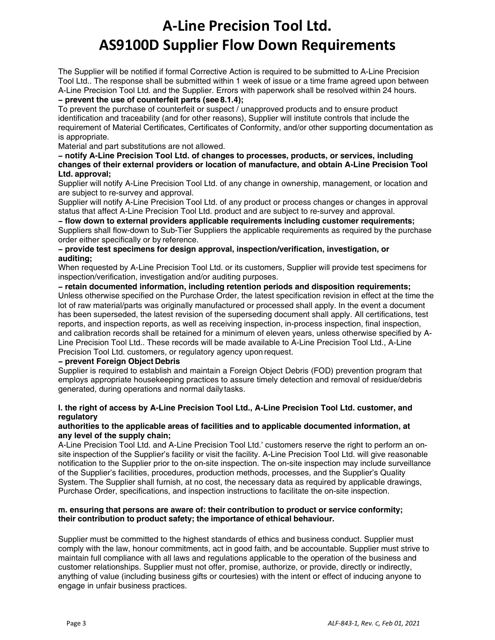The Supplier will be notified if formal Corrective Action is required to be submitted to A-Line Precision Tool Ltd.. The response shall be submitted within 1 week of issue or a time frame agreed upon between A-Line Precision Tool Ltd. and the Supplier. Errors with paperwork shall be resolved within 24 hours.

# **− prevent the use of counterfeit parts (see 8.1.4);**

To prevent the purchase of counterfeit or suspect / unapproved products and to ensure product identification and traceability (and for other reasons), Supplier will institute controls that include the requirement of Material Certificates, Certificates of Conformity, and/or other supporting documentation as is appropriate.

Material and part substitutions are not allowed.

#### **− notify A-Line Precision Tool Ltd. of changes to processes, products, or services, including changes of their external providers or location of manufacture, and obtain A-Line Precision Tool Ltd. approval;**

Supplier will notify A-Line Precision Tool Ltd. of any change in ownership, management, or location and are subject to re-survey and approval.

Supplier will notify A-Line Precision Tool Ltd. of any product or process changes or changes in approval status that affect A-Line Precision Tool Ltd. product and are subject to re-survey and approval.

**− flow down to external providers applicable requirements including customer requirements;**  Suppliers shall flow-down to Sub-Tier Suppliers the applicable requirements as required by the purchase order either specifically or by reference.

### **− provide test specimens for design approval, inspection/verification, investigation, or auditing;**

When requested by A-Line Precision Tool Ltd. or its customers, Supplier will provide test specimens for inspection/verification, investigation and/or auditing purposes.

**− retain documented information, including retention periods and disposition requirements;**  Unless otherwise specified on the Purchase Order, the latest specification revision in effect at the time the lot of raw material/parts was originally manufactured or processed shall apply. In the event a document has been superseded, the latest revision of the superseding document shall apply. All certifications, test reports, and inspection reports, as well as receiving inspection, in-process inspection, final inspection, and calibration records shall be retained for a minimum of eleven years, unless otherwise specified by A-Line Precision Tool Ltd.. These records will be made available to A-Line Precision Tool Ltd., A-Line Precision Tool Ltd. customers, or regulatory agency upon request.

# **− prevent Foreign Object Debris**

Supplier is required to establish and maintain a Foreign Object Debris (FOD) prevention program that employs appropriate housekeeping practices to assure timely detection and removal of residue/debris generated, during operations and normal daily tasks.

# **l. the right of access by A-Line Precision Tool Ltd., A-Line Precision Tool Ltd. customer, and regulatory**

### **authorities to the applicable areas of facilities and to applicable documented information, at any level of the supply chain;**

A-Line Precision Tool Ltd. and A-Line Precision Tool Ltd.' customers reserve the right to perform an onsite inspection of the Supplier's facility or visit the facility. A-Line Precision Tool Ltd. will give reasonable notification to the Supplier prior to the on-site inspection. The on-site inspection may include surveillance of the Supplier's facilities, procedures, production methods, processes, and the Supplier's Quality System. The Supplier shall furnish, at no cost, the necessary data as required by applicable drawings, Purchase Order, specifications, and inspection instructions to facilitate the on-site inspection.

### **m. ensuring that persons are aware of: their contribution to product or service conformity; their contribution to product safety; the importance of ethical behaviour.**

Supplier must be committed to the highest standards of ethics and business conduct. Supplier must comply with the law, honour commitments, act in good faith, and be accountable. Supplier must strive to maintain full compliance with all laws and regulations applicable to the operation of the business and customer relationships. Supplier must not offer, promise, authorize, or provide, directly or indirectly, anything of value (including business gifts or courtesies) with the intent or effect of inducing anyone to engage in unfair business practices.